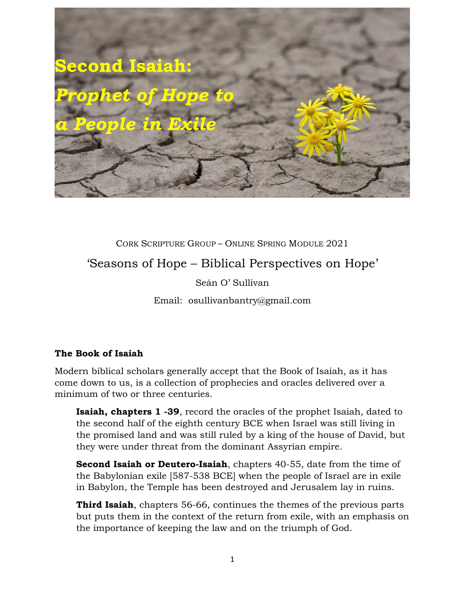

CORK SCRIPTURE GROUP – ONLINE SPRING MODULE 2021 'Seasons of Hope – Biblical Perspectives on Hope'

Seán O' Sullivan

Email: osullivanbantry@gmail.com

## **The Book of Isaiah**

Modern biblical scholars generally accept that the Book of Isaiah, as it has come down to us, is a collection of prophecies and oracles delivered over a minimum of two or three centuries.

**Isaiah, chapters 1 -39**, record the oracles of the prophet Isaiah, dated to the second half of the eighth century BCE when Israel was still living in the promised land and was still ruled by a king of the house of David, but they were under threat from the dominant Assyrian empire.

**Second Isaiah or Deutero-Isaiah**, chapters 40-55, date from the time of the Babylonian exile [587-538 BCE] when the people of Israel are in exile in Babylon, the Temple has been destroyed and Jerusalem lay in ruins.

**Third Isaiah**, chapters 56-66, continues the themes of the previous parts but puts them in the context of the return from exile, with an emphasis on the importance of keeping the law and on the triumph of God.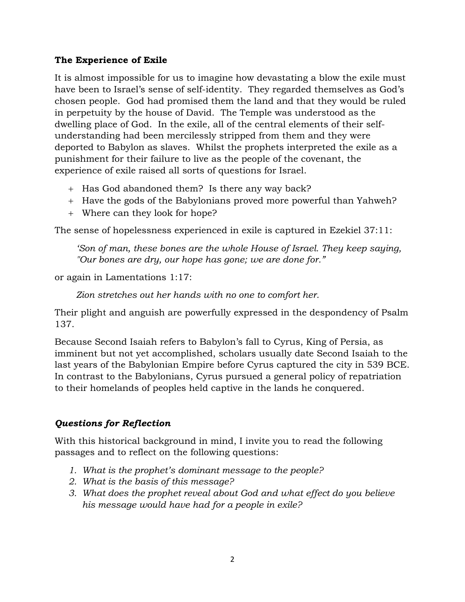## **The Experience of Exile**

It is almost impossible for us to imagine how devastating a blow the exile must have been to Israel's sense of self-identity. They regarded themselves as God's chosen people. God had promised them the land and that they would be ruled in perpetuity by the house of David. The Temple was understood as the dwelling place of God. In the exile, all of the central elements of their selfunderstanding had been mercilessly stripped from them and they were deported to Babylon as slaves. Whilst the prophets interpreted the exile as a punishment for their failure to live as the people of the covenant, the experience of exile raised all sorts of questions for Israel.

- + Has God abandoned them? Is there any way back?
- + Have the gods of the Babylonians proved more powerful than Yahweh?
- + Where can they look for hope?

The sense of hopelessness experienced in exile is captured in Ezekiel 37:11:

*'Son of man, these bones are the whole House of Israel. They keep saying, "Our bones are dry, our hope has gone; we are done for."*

or again in Lamentations 1:17:

*Zion stretches out her hands with no one to comfort her.*

Their plight and anguish are powerfully expressed in the despondency of Psalm 137.

Because Second Isaiah refers to Babylon's fall to Cyrus, King of Persia, as imminent but not yet accomplished, scholars usually date Second Isaiah to the last years of the Babylonian Empire before Cyrus captured the city in 539 BCE. In contrast to the Babylonians, Cyrus pursued a general policy of repatriation to their homelands of peoples held captive in the lands he conquered.

## *Questions for Reflection*

With this historical background in mind, I invite you to read the following passages and to reflect on the following questions:

- *1. What is the prophet's dominant message to the people?*
- *2. What is the basis of this message?*
- *3. What does the prophet reveal about God and what effect do you believe his message would have had for a people in exile?*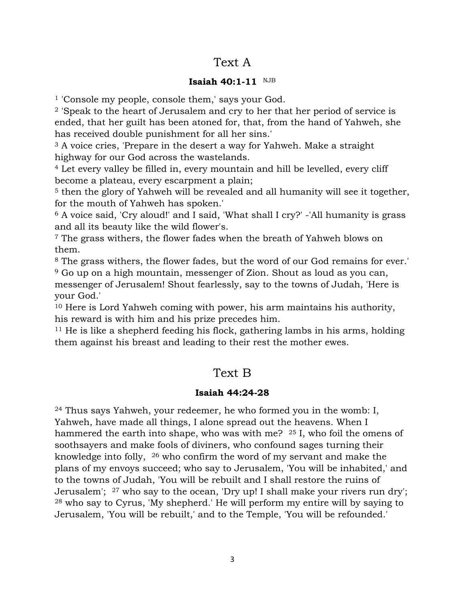# Text A

#### **Isaiah 40:1-11** NJB

<sup>1</sup> 'Console my people, console them,' says your God.

<sup>2</sup> 'Speak to the heart of Jerusalem and cry to her that her period of service is ended, that her guilt has been atoned for, that, from the hand of Yahweh, she has received double punishment for all her sins.'

<sup>3</sup> A voice cries, 'Prepare in the desert a way for Yahweh. Make a straight highway for our God across the wastelands.

<sup>4</sup> Let every valley be filled in, every mountain and hill be levelled, every cliff become a plateau, every escarpment a plain;

<sup>5</sup> then the glory of Yahweh will be revealed and all humanity will see it together, for the mouth of Yahweh has spoken.'

<sup>6</sup> A voice said, 'Cry aloud!' and I said, 'What shall I cry?' -'All humanity is grass and all its beauty like the wild flower's.

<sup>7</sup> The grass withers, the flower fades when the breath of Yahweh blows on them.

<sup>8</sup> The grass withers, the flower fades, but the word of our God remains for ever.' <sup>9</sup> Go up on a high mountain, messenger of Zion. Shout as loud as you can, messenger of Jerusalem! Shout fearlessly, say to the towns of Judah, 'Here is your God.'

<sup>10</sup> Here is Lord Yahweh coming with power, his arm maintains his authority, his reward is with him and his prize precedes him.

<sup>11</sup> He is like a shepherd feeding his flock, gathering lambs in his arms, holding them against his breast and leading to their rest the mother ewes.

# Text B

### **Isaiah 44:24-28**

<sup>24</sup> Thus says Yahweh, your redeemer, he who formed you in the womb: I, Yahweh, have made all things, I alone spread out the heavens. When I hammered the earth into shape, who was with me? <sup>25</sup> I, who foil the omens of soothsayers and make fools of diviners, who confound sages turning their knowledge into folly, <sup>26</sup> who confirm the word of my servant and make the plans of my envoys succeed; who say to Jerusalem, 'You will be inhabited,' and to the towns of Judah, 'You will be rebuilt and I shall restore the ruins of Jerusalem';  $27$  who say to the ocean, 'Dry up! I shall make your rivers run dry'; <sup>28</sup> who say to Cyrus, 'My shepherd.' He will perform my entire will by saying to Jerusalem, 'You will be rebuilt,' and to the Temple, 'You will be refounded.'